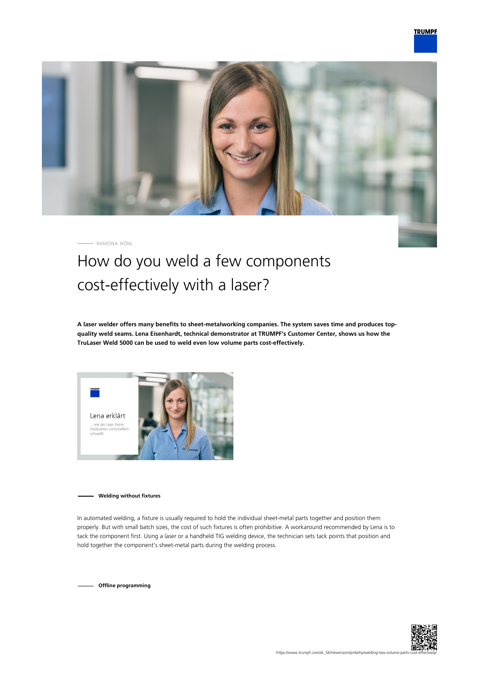

RAMONA HÖNL

## How do you weld a few components cost-effectively with a laser?

**A laser welder offers many benefits to sheet-metalworking companies. The system saves time and produces topquality weld seams. Lena Eisenhardt, technical demonstrator at TRUMPF's Customer Center, shows us how the TruLaser Weld 5000 can be used to weld even low volume parts cost-effectively.**



**Welding without fixtures**

In automated welding, a fixture is usually required to hold the individual sheet-metal parts together and position them properly. But with small batch sizes, the cost of such fixtures is often prohibitive. A workaround recommended by Lena is to tack the component first. Using a laser or a handheld TIG welding device, the technician sets tack points that position and hold together the component's sheet-metal parts during the welding process.

**Offline programming**